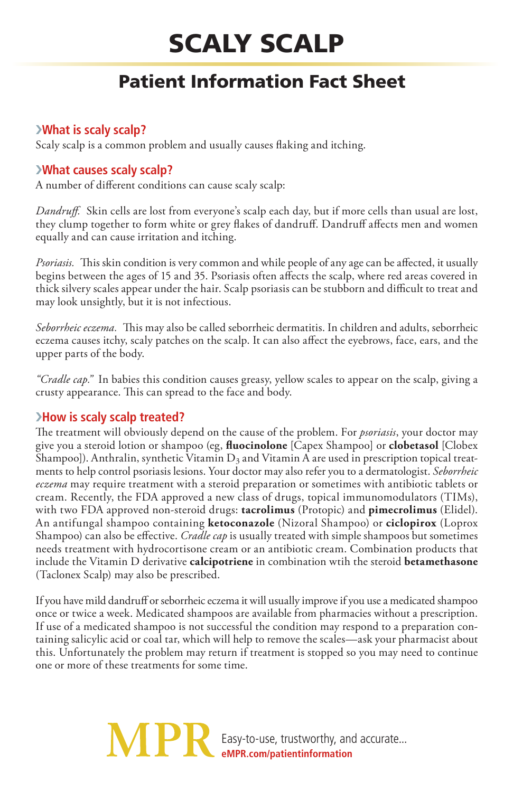# Scaly Scalp

## Patient Information Fact Sheet

#### ›**What is scaly scalp?**

Scaly scalp is a common problem and usually causes flaking and itching.

#### ›**What causes scaly scalp?**

A number of different conditions can cause scaly scalp:

*Dandruff.* Skin cells are lost from everyone's scalp each day, but if more cells than usual are lost, they clump together to form white or grey flakes of dandruff. Dandruff affects men and women equally and can cause irritation and itching.

*Psoriasis.* This skin condition is very common and while people of any age can be affected, it usually begins between the ages of 15 and 35. Psoriasis often affects the scalp, where red areas covered in thick silvery scales appear under the hair. Scalp psoriasis can be stubborn and difficult to treat and may look unsightly, but it is not infectious.

*Seborrheic eczema.* This may also be called seborrheic dermatitis. In children and adults, seborrheic eczema causes itchy, scaly patches on the scalp. It can also affect the eyebrows, face, ears, and the upper parts of the body.

*"Cradle cap."* In babies this condition causes greasy, yellow scales to appear on the scalp, giving a crusty appearance. This can spread to the face and body.

#### ›**How is scaly scalp treated?**

The treatment will obviously depend on the cause of the problem. For *psoriasis*, your doctor may give you a steroid lotion or shampoo (eg, **fluocinolone** [Capex Shampoo] or **clobetasol** [Clobex Shampoo]). Anthralin, synthetic Vitamin  $D_3$  and Vitamin A are used in prescription topical treatments to help control psoriasis lesions. Your doctor may also refer you to a dermatologist. *Seborrheic eczema* may require treatment with a steroid preparation or sometimes with antibiotic tablets or cream. Recently, the FDA approved a new class of drugs, topical immunomodulators (TIMs), with two FDA approved non-steroid drugs: **tacrolimus** (Protopic) and **pimecrolimus** (Elidel). An antifungal shampoo containing **ketoconazole** (Nizoral Shampoo) or **ciclopirox** (Loprox Shampoo) can also be effective. *Cradle cap* is usually treated with simple shampoos but sometimes needs treatment with hydrocortisone cream or an antibiotic cream. Combination products that include the Vitamin D derivative **calcipotriene** in combination wtih the steroid **betamethasone** (Taclonex Scalp) may also be prescribed.

If you have mild dandruff or seborrheic eczema it will usually improve if you use a medicated shampoo once or twice a week. Medicated shampoos are available from pharmacies without a prescription. If use of a medicated shampoo is not successful the condition may respond to a preparation containing salicylic acid or coal tar, which will help to remove the scales—ask your pharmacist about this. Unfortunately the problem may return if treatment is stopped so you may need to continue one or more of these treatments for some time.

> Easy-to-use, trustworthy, and accurate... **eMPR.com/patientinformation**